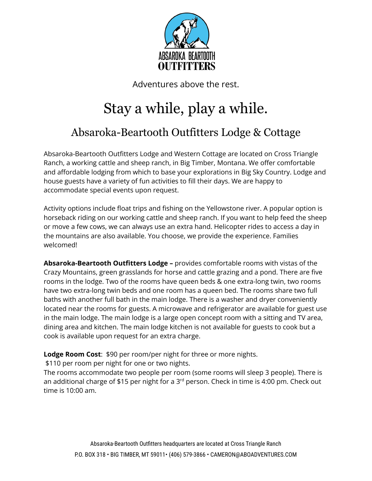

Adventures above the rest.

# Stay a while, play a while.

### Absaroka-Beartooth Outfitters Lodge & Cottage

Absaroka-Beartooth Outfitters Lodge and Western Cottage are located on Cross Triangle Ranch, a working cattle and sheep ranch, in Big Timber, Montana. We offer comfortable and affordable lodging from which to base your explorations in Big Sky Country. Lodge and house guests have a variety of fun activities to fill their days. We are happy to accommodate special events upon request.

Activity options include float trips and fishing on the Yellowstone river. A popular option is horseback riding on our working cattle and sheep ranch. If you want to help feed the sheep or move a few cows, we can always use an extra hand. Helicopter rides to access a day in the mountains are also available. You choose, we provide the experience. Families welcomed!

**Absaroka-Beartooth Outfitters Lodge –** provides comfortable rooms with vistas of the Crazy Mountains, green grasslands for horse and cattle grazing and a pond. There are five rooms in the lodge. Two of the rooms have queen beds & one extra-long twin, two rooms have two extra-long twin beds and one room has a queen bed. The rooms share two full baths with another full bath in the main lodge. There is a washer and dryer conveniently located near the rooms for guests. A microwave and refrigerator are available for guest use in the main lodge. The main lodge is a large open concept room with a sitting and TV area, dining area and kitchen. The main lodge kitchen is not available for guests to cook but a cook is available upon request for an extra charge.

**Lodge Room Cost**: \$90 per room/per night for three or more nights.

\$110 per room per night for one or two nights.

The rooms accommodate two people per room (some rooms will sleep 3 people). There is an additional charge of \$15 per night for a 3<sup>rd</sup> person. Check in time is 4:00 pm. Check out time is 10:00 am.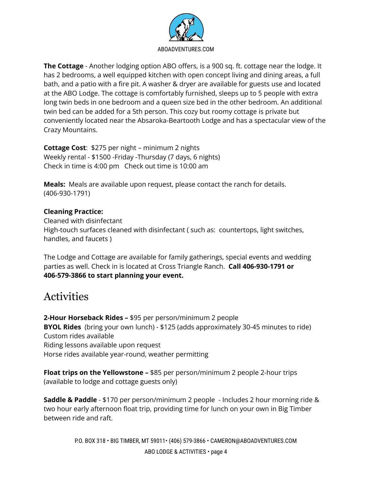

**The Cottage** - Another lodging option ABO offers, is a 900 sq. ft. cottage near the lodge. It has 2 bedrooms, a well equipped kitchen with open concept living and dining areas, a full bath, and a patio with a fire pit. A washer & dryer are available for guests use and located at the ABO Lodge. The cottage is comfortably furnished, sleeps up to 5 people with extra long twin beds in one bedroom and a queen size bed in the other bedroom. An additional twin bed can be added for a 5th person. This cozy but roomy cottage is private but conveniently located near the Absaroka-Beartooth Lodge and has a spectacular view of the Crazy Mountains.

**Cottage Cost**: \$275 per night – minimum 2 nights Weekly rental - \$1500 -Friday -Thursday (7 days, 6 nights) Check in time is 4:00 pm Check out time is 10:00 am

**Meals:** Meals are available upon request, please contact the ranch for details. (406-930-1791)

#### **Cleaning Practice:**

Cleaned with disinfectant High-touch surfaces cleaned with disinfectant ( such as: countertops, light switches, handles, and faucets )

The Lodge and Cottage are available for family gatherings, special events and wedding parties as well. Check in is located at Cross Triangle Ranch. **Call 406-930-1791 or 406-579-3866 to start planning your event.**

### **Activities**

**2-Hour Horseback Rides –** \$95 per person/minimum 2 people **BYOL Rides** (bring your own lunch) - \$125 (adds approximately 30-45 minutes to ride) Custom rides available Riding lessons available upon request Horse rides available year-round, weather permitting

**Float trips on the Yellowstone –** \$85 per person/minimum 2 people 2-hour trips (available to lodge and cottage guests only)

**Saddle & Paddle** - \$170 per person/minimum 2 people - Includes 2 hour morning ride & two hour early afternoon float trip, providing time for lunch on your own in Big Timber between ride and raft.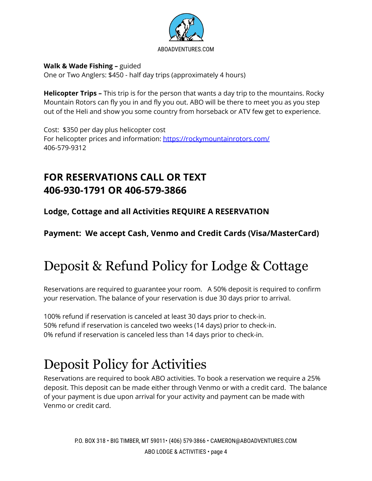

#### **Walk & Wade Fishing –** guided

One or Two Anglers: \$450 - half day trips (approximately 4 hours)

**Helicopter Trips –** This trip is for the person that wants a day trip to the mountains. Rocky Mountain Rotors can fly you in and fly you out. ABO will be there to meet you as you step out of the Heli and show you some country from horseback or ATV few get to experience.

Cost: \$350 per day plus helicopter cost For helicopter prices and information: <https://rockymountainrotors.com/> 406-579-9312

### **FOR RESERVATIONS CALL OR TEXT 406-930-1791 OR 406-579-3866**

**Lodge, Cottage and all Activities REQUIRE A RESERVATION**

**Payment: We accept Cash, Venmo and Credit Cards (Visa/MasterCard)**

## Deposit & Refund Policy for Lodge & Cottage

Reservations are required to guarantee your room. A 50% deposit is required to confirm your reservation. The balance of your reservation is due 30 days prior to arrival.

100% refund if reservation is canceled at least 30 days prior to check-in. 50% refund if reservation is canceled two weeks (14 days) prior to check-in. 0% refund if reservation is canceled less than 14 days prior to check-in.

## Deposit Policy for Activities

Reservations are required to book ABO activities. To book a reservation we require a 25% deposit. This deposit can be made either through Venmo or with a credit card. The balance of your payment is due upon arrival for your activity and payment can be made with Venmo or credit card.